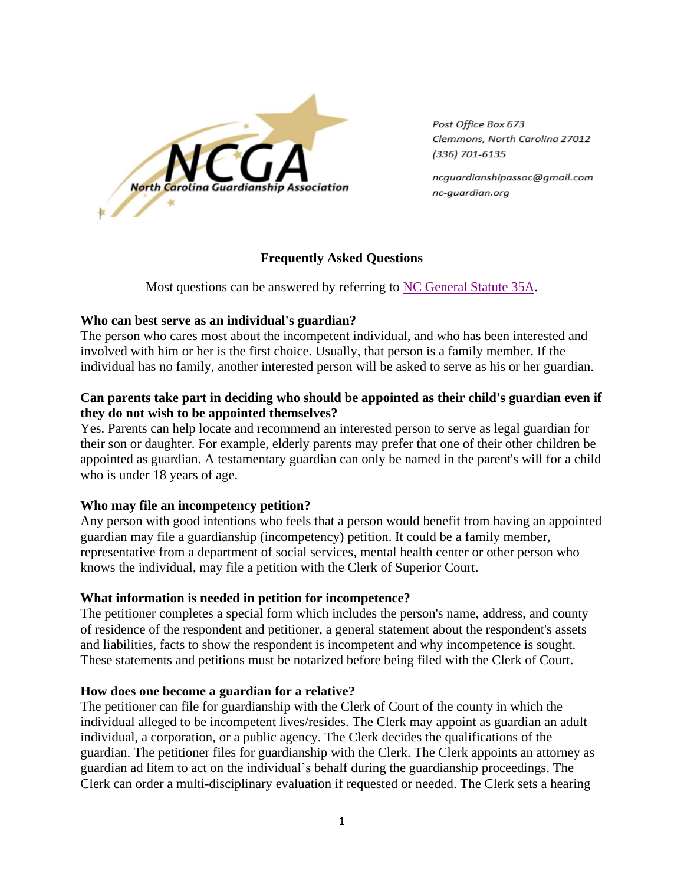

Post Office Box 673 Clemmons, North Carolina 27012 (336) 701-6135

ncguardianshipassoc@gmail.com nc-auardian.ora

### **Frequently Asked Questions**

Most questions can be answered by referring to [NC General Statute 35A.](http://www.ncga.state.nc.us/gascripts/statutes/StatutesTOC.pl?Chapter=0035A)

## **Who can best serve as an individual's guardian?**

The person who cares most about the incompetent individual, and who has been interested and involved with him or her is the first choice. Usually, that person is a family member. If the individual has no family, another interested person will be asked to serve as his or her guardian.

# **Can parents take part in deciding who should be appointed as their child's guardian even if they do not wish to be appointed themselves?**

Yes. Parents can help locate and recommend an interested person to serve as legal guardian for their son or daughter. For example, elderly parents may prefer that one of their other children be appointed as guardian. A testamentary guardian can only be named in the parent's will for a child who is under 18 years of age.

# **Who may file an incompetency petition?**

Any person with good intentions who feels that a person would benefit from having an appointed guardian may file a guardianship (incompetency) petition. It could be a family member, representative from a department of social services, mental health center or other person who knows the individual, may file a petition with the Clerk of Superior Court.

# **What information is needed in petition for incompetence?**

The petitioner completes a special form which includes the person's name, address, and county of residence of the respondent and petitioner, a general statement about the respondent's assets and liabilities, facts to show the respondent is incompetent and why incompetence is sought. These statements and petitions must be notarized before being filed with the Clerk of Court.

### **How does one become a guardian for a relative?**

The petitioner can file for guardianship with the Clerk of Court of the county in which the individual alleged to be incompetent lives/resides. The Clerk may appoint as guardian an adult individual, a corporation, or a public agency. The Clerk decides the qualifications of the guardian. The petitioner files for guardianship with the Clerk. The Clerk appoints an attorney as guardian ad litem to act on the individual's behalf during the guardianship proceedings. The Clerk can order a multi-disciplinary evaluation if requested or needed. The Clerk sets a hearing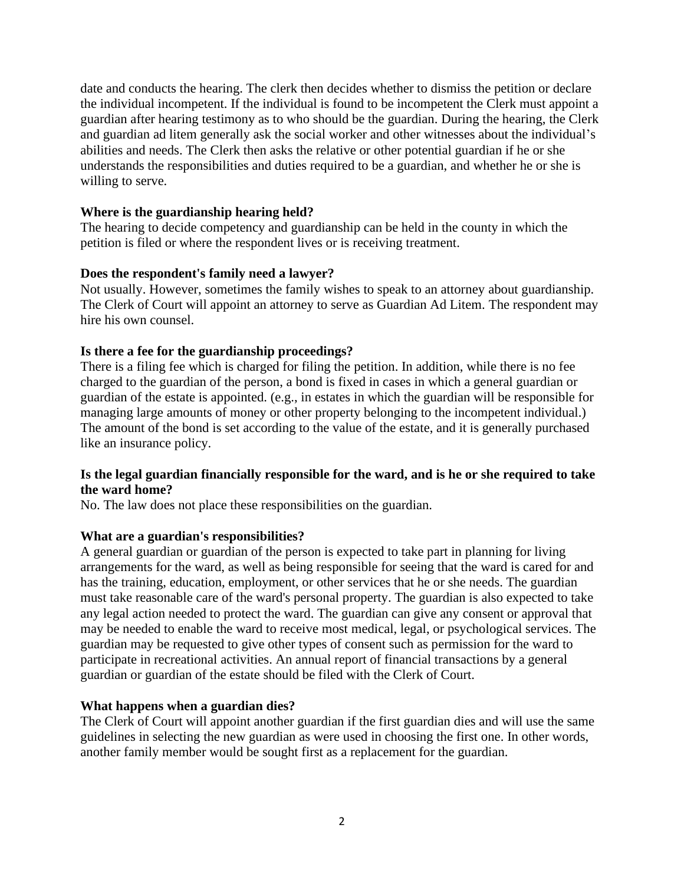date and conducts the hearing. The clerk then decides whether to dismiss the petition or declare the individual incompetent. If the individual is found to be incompetent the Clerk must appoint a guardian after hearing testimony as to who should be the guardian. During the hearing, the Clerk and guardian ad litem generally ask the social worker and other witnesses about the individual's abilities and needs. The Clerk then asks the relative or other potential guardian if he or she understands the responsibilities and duties required to be a guardian, and whether he or she is willing to serve.

#### **Where is the guardianship hearing held?**

The hearing to decide competency and guardianship can be held in the county in which the petition is filed or where the respondent lives or is receiving treatment.

### **Does the respondent's family need a lawyer?**

Not usually. However, sometimes the family wishes to speak to an attorney about guardianship. The Clerk of Court will appoint an attorney to serve as Guardian Ad Litem. The respondent may hire his own counsel.

#### **Is there a fee for the guardianship proceedings?**

There is a filing fee which is charged for filing the petition. In addition, while there is no fee charged to the guardian of the person, a bond is fixed in cases in which a general guardian or guardian of the estate is appointed. (e.g., in estates in which the guardian will be responsible for managing large amounts of money or other property belonging to the incompetent individual.) The amount of the bond is set according to the value of the estate, and it is generally purchased like an insurance policy.

### **Is the legal guardian financially responsible for the ward, and is he or she required to take the ward home?**

No. The law does not place these responsibilities on the guardian.

#### **What are a guardian's responsibilities?**

A general guardian or guardian of the person is expected to take part in planning for living arrangements for the ward, as well as being responsible for seeing that the ward is cared for and has the training, education, employment, or other services that he or she needs. The guardian must take reasonable care of the ward's personal property. The guardian is also expected to take any legal action needed to protect the ward. The guardian can give any consent or approval that may be needed to enable the ward to receive most medical, legal, or psychological services. The guardian may be requested to give other types of consent such as permission for the ward to participate in recreational activities. An annual report of financial transactions by a general guardian or guardian of the estate should be filed with the Clerk of Court.

### **What happens when a guardian dies?**

The Clerk of Court will appoint another guardian if the first guardian dies and will use the same guidelines in selecting the new guardian as were used in choosing the first one. In other words, another family member would be sought first as a replacement for the guardian.